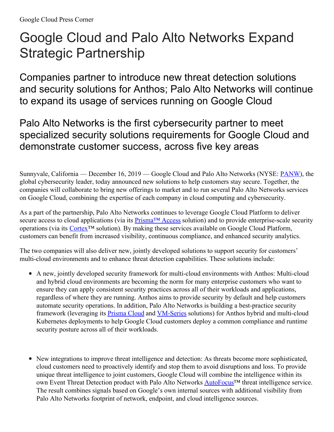## Google Cloud and Palo Alto Networks Expand Strategic Partnership

Companies partner to introduce new threat detection solutions and security solutions for Anthos; Palo Alto Networks will continue to expand its usage of services running on Google Cloud

Palo Alto Networks is the first cybersecurity partner to meet specialized security solutions requirements for Google Cloud and demonstrate customer success, across five key areas

Sunnyvale, California — December 16, 2019 — Google Cloud and Palo Alto Networks (NYSE: [PANW](http://studio-5.financialcontent.com/prnews?Page=Quote&Ticker=PANW)), the global cybersecurity leader, today announced new solutions to help customers stay secure. Together, the companies will collaborate to bring new offerings to market and to run several Palo Alto Networks services on Google Cloud, combining the expertise of each company in cloud computing and cybersecurity.

As a part of the partnership, Palo Alto Networks continues to leverage Google Cloud Platform to deliver secure access to cloud applications (via its [Prisma™](https://www.paloaltonetworks.com/prisma/access) Access solution) and to provide enterprise-scale security operations (via its [Cortex](https://www.paloaltonetworks.com/cortex)™ solution). By making these services available on Google Cloud Platform, customers can benefit from increased visibility, continuous compliance, and enhanced security analytics.

The two companies will also deliver new, jointly developed solutions to support security for customers' multi-cloud environments and to enhance threat detection capabilities. These solutions include:

- A new, jointly developed security framework for multi-cloud environments with Anthos: Multi-cloud and hybrid cloud environments are becoming the norm for many enterprise customers who want to ensure they can apply consistent security practices across all of their workloads and applications, regardless of where they are running. Anthos aims to provide security by default and help customers automate security operations. In addition, Palo Alto Networks is building a best-practice security framework (leveraging its [Prisma](https://www.paloaltonetworks.com/prisma/cloud) Cloud and [VM-Series](https://www.paloaltonetworks.com/prisma/vm-series) solutions) for Anthos hybrid and multi-cloud Kubernetes deployments to help Google Cloud customers deploy a common compliance and runtime security posture across all of their workloads.
- New integrations to improve threat intelligence and detection: As threats become more sophisticated, cloud customers need to proactively identify and stop them to avoid disruptions and loss. To provide unique threat intelligence to joint customers, Google Cloud will combine the intelligence within its own Event Threat Detection product with Palo Alto Networks AutoFocus<sup>™</sup> threat intelligence service. The result combines signals based on Google's own internal sources with additional visibility from Palo Alto Networks footprint of network, endpoint, and cloud intelligence sources.